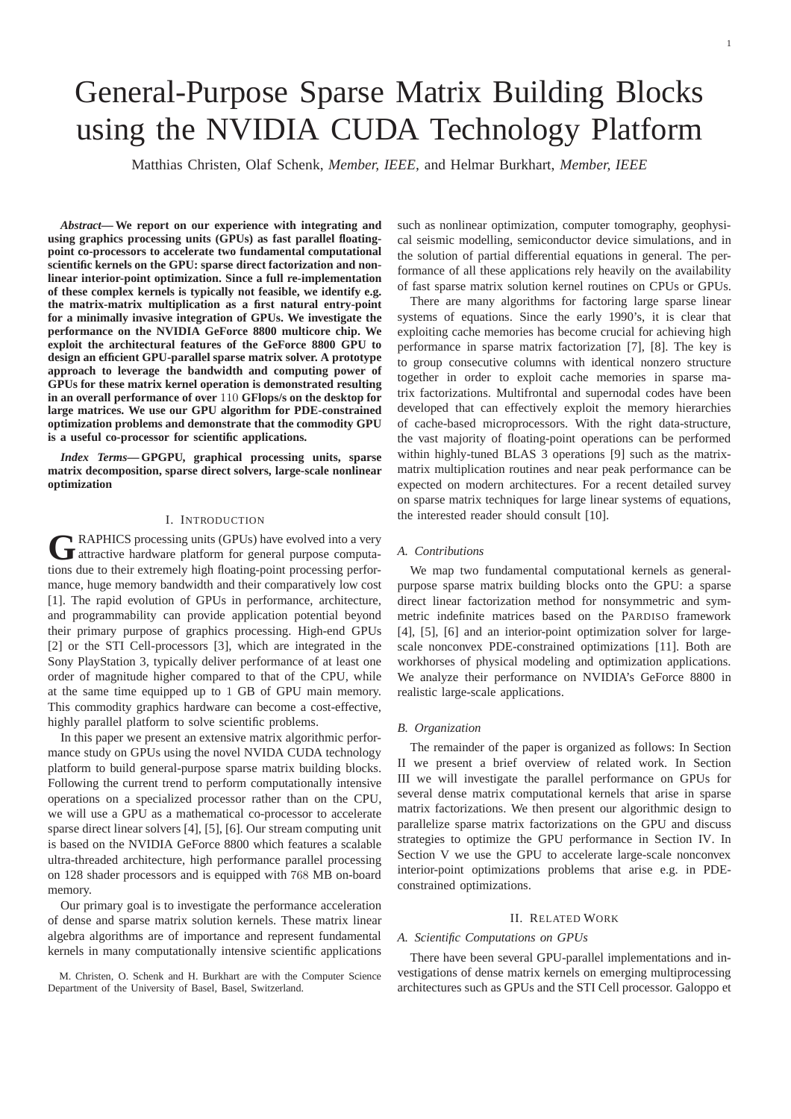# General-Purpose Sparse Matrix Building Blocks using the NVIDIA CUDA Technology Platform

Matthias Christen, Olaf Schenk, *Member, IEEE,* and Helmar Burkhart, *Member, IEEE*

*Abstract***— We report on our experience with integrating and using graphics processing units (GPUs) as fast parallel floatingpoint co-processors to accelerate two fundamental computational scientific kernels on the GPU: sparse direct factorization and nonlinear interior-point optimization. Since a full re-implementation of these complex kernels is typically not feasible, we identify e.g. the matrix-matrix multiplication as a first natural entry-point for a minimally invasive integration of GPUs. We investigate the performance on the NVIDIA GeForce 8800 multicore chip. We exploit the architectural features of the GeForce 8800 GPU to design an efficient GPU-parallel sparse matrix solver. A prototype approach to leverage the bandwidth and computing power of GPUs for these matrix kernel operation is demonstrated resulting in an overall performance of over** 110 **GFlops/s on the desktop for large matrices. We use our GPU algorithm for PDE-constrained optimization problems and demonstrate that the commodity GPU is a useful co-processor for scientific applications.**

*Index Terms***— GPGPU, graphical processing units, sparse matrix decomposition, sparse direct solvers, large-scale nonlinear optimization**

# I. INTRODUCTION

**G** RAPHICS processing units (GPUs) have evolved into a very attractive hardware platform for general purpose computa-RAPHICS processing units (GPUs) have evolved into a very tions due to their extremely high floating-point processing performance, huge memory bandwidth and their comparatively low cost [1]. The rapid evolution of GPUs in performance, architecture, and programmability can provide application potential beyond their primary purpose of graphics processing. High-end GPUs [2] or the STI Cell-processors [3], which are integrated in the Sony PlayStation 3, typically deliver performance of at least one order of magnitude higher compared to that of the CPU, while at the same time equipped up to 1 GB of GPU main memory. This commodity graphics hardware can become a cost-effective, highly parallel platform to solve scientific problems.

In this paper we present an extensive matrix algorithmic performance study on GPUs using the novel NVIDA CUDA technology platform to build general-purpose sparse matrix building blocks. Following the current trend to perform computationally intensive operations on a specialized processor rather than on the CPU, we will use a GPU as a mathematical co-processor to accelerate sparse direct linear solvers [4], [5], [6]. Our stream computing unit is based on the NVIDIA GeForce 8800 which features a scalable ultra-threaded architecture, high performance parallel processing on 128 shader processors and is equipped with 768 MB on-board memory.

Our primary goal is to investigate the performance acceleration of dense and sparse matrix solution kernels. These matrix linear algebra algorithms are of importance and represent fundamental kernels in many computationally intensive scientific applications

M. Christen, O. Schenk and H. Burkhart are with the Computer Science Department of the University of Basel, Basel, Switzerland.

such as nonlinear optimization, computer tomography, geophysical seismic modelling, semiconductor device simulations, and in the solution of partial differential equations in general. The performance of all these applications rely heavily on the availability of fast sparse matrix solution kernel routines on CPUs or GPUs.

There are many algorithms for factoring large sparse linear systems of equations. Since the early 1990's, it is clear that exploiting cache memories has become crucial for achieving high performance in sparse matrix factorization [7], [8]. The key is to group consecutive columns with identical nonzero structure together in order to exploit cache memories in sparse matrix factorizations. Multifrontal and supernodal codes have been developed that can effectively exploit the memory hierarchies of cache-based microprocessors. With the right data-structure, the vast majority of floating-point operations can be performed within highly-tuned BLAS 3 operations [9] such as the matrixmatrix multiplication routines and near peak performance can be expected on modern architectures. For a recent detailed survey on sparse matrix techniques for large linear systems of equations, the interested reader should consult [10].

#### *A. Contributions*

We map two fundamental computational kernels as generalpurpose sparse matrix building blocks onto the GPU: a sparse direct linear factorization method for nonsymmetric and symmetric indefinite matrices based on the PARDISO framework [4], [5], [6] and an interior-point optimization solver for largescale nonconvex PDE-constrained optimizations [11]. Both are workhorses of physical modeling and optimization applications. We analyze their performance on NVIDIA's GeForce 8800 in realistic large-scale applications.

#### *B. Organization*

The remainder of the paper is organized as follows: In Section II we present a brief overview of related work. In Section III we will investigate the parallel performance on GPUs for several dense matrix computational kernels that arise in sparse matrix factorizations. We then present our algorithmic design to parallelize sparse matrix factorizations on the GPU and discuss strategies to optimize the GPU performance in Section IV. In Section V we use the GPU to accelerate large-scale nonconvex interior-point optimizations problems that arise e.g. in PDEconstrained optimizations.

#### II. RELATED WORK

## *A. Scientific Computations on GPUs*

There have been several GPU-parallel implementations and investigations of dense matrix kernels on emerging multiprocessing architectures such as GPUs and the STI Cell processor. Galoppo et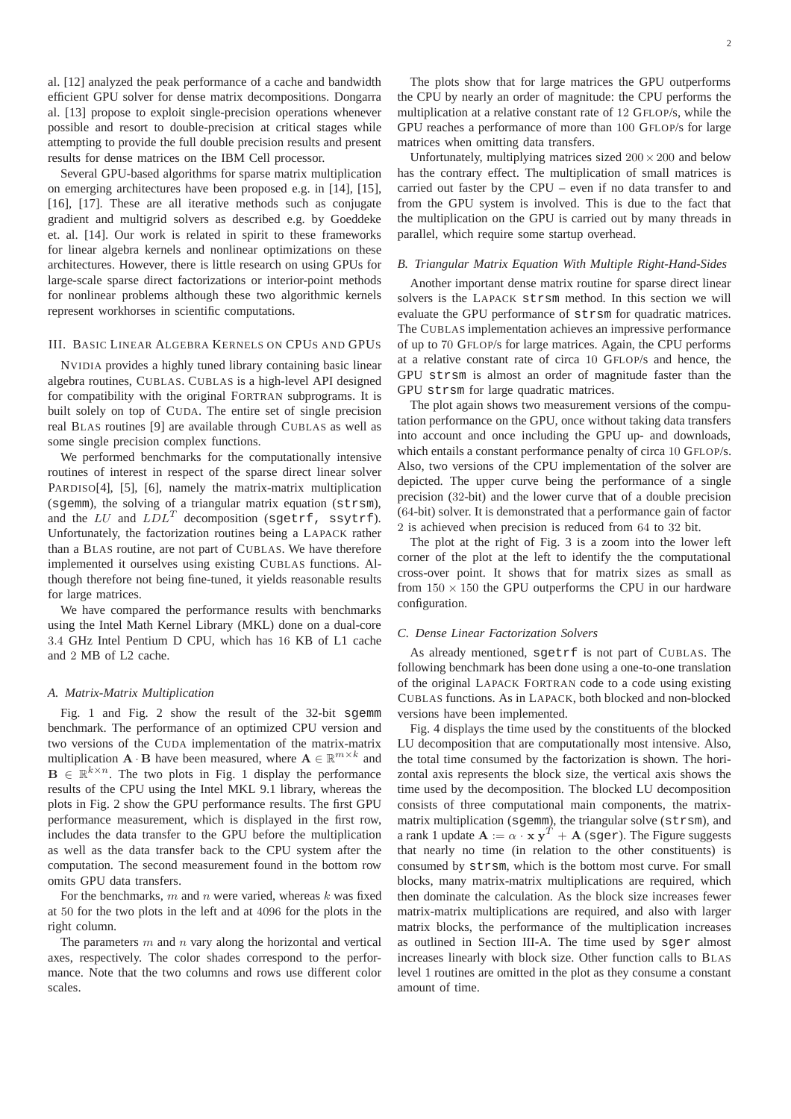al. [12] analyzed the peak performance of a cache and bandwidth efficient GPU solver for dense matrix decompositions. Dongarra al. [13] propose to exploit single-precision operations whenever possible and resort to double-precision at critical stages while attempting to provide the full double precision results and present results for dense matrices on the IBM Cell processor.

Several GPU-based algorithms for sparse matrix multiplication on emerging architectures have been proposed e.g. in [14], [15], [16], [17]. These are all iterative methods such as conjugate gradient and multigrid solvers as described e.g. by Goeddeke et. al. [14]. Our work is related in spirit to these frameworks for linear algebra kernels and nonlinear optimizations on these architectures. However, there is little research on using GPUs for large-scale sparse direct factorizations or interior-point methods for nonlinear problems although these two algorithmic kernels represent workhorses in scientific computations.

# III. BASIC LINEAR ALGEBRA KERNELS ON CPUS AND GPUS

NVIDIA provides a highly tuned library containing basic linear algebra routines, CUBLAS. CUBLAS is a high-level API designed for compatibility with the original FORTRAN subprograms. It is built solely on top of CUDA. The entire set of single precision real BLAS routines [9] are available through CUBLAS as well as some single precision complex functions.

We performed benchmarks for the computationally intensive routines of interest in respect of the sparse direct linear solver PARDISO[4], [5], [6], namely the matrix-matrix multiplication (sgemm), the solving of a triangular matrix equation (strsm), and the  $LU$  and  $LDL^T$  decomposition (sgetrf, ssytrf). Unfortunately, the factorization routines being a LAPACK rather than a BLAS routine, are not part of CUBLAS. We have therefore implemented it ourselves using existing CUBLAS functions. Although therefore not being fine-tuned, it yields reasonable results for large matrices.

We have compared the performance results with benchmarks using the Intel Math Kernel Library (MKL) done on a dual-core 3.4 GHz Intel Pentium D CPU, which has 16 KB of L1 cache and 2 MB of L2 cache.

#### *A. Matrix-Matrix Multiplication*

Fig. 1 and Fig. 2 show the result of the 32-bit sgemm benchmark. The performance of an optimized CPU version and two versions of the CUDA implementation of the matrix-matrix multiplication  $\mathbf{A} \cdot \mathbf{B}$  have been measured, where  $\mathbf{A} \in \mathbb{R}^{m \times k}$  and  $\mathbf{B} \in \mathbb{R}^{k \times n}$ . The two plots in Fig. 1 display the performance results of the CPU using the Intel MKL 9.1 library, whereas the plots in Fig. 2 show the GPU performance results. The first GPU performance measurement, which is displayed in the first row, includes the data transfer to the GPU before the multiplication as well as the data transfer back to the CPU system after the computation. The second measurement found in the bottom row omits GPU data transfers.

For the benchmarks,  $m$  and  $n$  were varied, whereas  $k$  was fixed at 50 for the two plots in the left and at 4096 for the plots in the right column.

The parameters  $m$  and  $n$  vary along the horizontal and vertical axes, respectively. The color shades correspond to the performance. Note that the two columns and rows use different color scales.

The plots show that for large matrices the GPU outperforms the CPU by nearly an order of magnitude: the CPU performs the multiplication at a relative constant rate of 12 GFLOP/s, while the GPU reaches a performance of more than 100 GFLOP/s for large matrices when omitting data transfers.

Unfortunately, multiplying matrices sized  $200 \times 200$  and below has the contrary effect. The multiplication of small matrices is carried out faster by the CPU – even if no data transfer to and from the GPU system is involved. This is due to the fact that the multiplication on the GPU is carried out by many threads in parallel, which require some startup overhead.

#### *B. Triangular Matrix Equation With Multiple Right-Hand-Sides*

Another important dense matrix routine for sparse direct linear solvers is the LAPACK strsm method. In this section we will evaluate the GPU performance of strsm for quadratic matrices. The CUBLAS implementation achieves an impressive performance of up to 70 GFLOP/s for large matrices. Again, the CPU performs at a relative constant rate of circa 10 GFLOP/s and hence, the GPU strsm is almost an order of magnitude faster than the GPU strsm for large quadratic matrices.

The plot again shows two measurement versions of the computation performance on the GPU, once without taking data transfers into account and once including the GPU up- and downloads, which entails a constant performance penalty of circa 10 GFLOP/s. Also, two versions of the CPU implementation of the solver are depicted. The upper curve being the performance of a single precision (32-bit) and the lower curve that of a double precision (64-bit) solver. It is demonstrated that a performance gain of factor 2 is achieved when precision is reduced from 64 to 32 bit.

The plot at the right of Fig. 3 is a zoom into the lower left corner of the plot at the left to identify the the computational cross-over point. It shows that for matrix sizes as small as from  $150 \times 150$  the GPU outperforms the CPU in our hardware configuration.

## *C. Dense Linear Factorization Solvers*

As already mentioned, sgetrf is not part of CUBLAS. The following benchmark has been done using a one-to-one translation of the original LAPACK FORTRAN code to a code using existing CUBLAS functions. As in LAPACK, both blocked and non-blocked versions have been implemented.

Fig. 4 displays the time used by the constituents of the blocked LU decomposition that are computationally most intensive. Also, the total time consumed by the factorization is shown. The horizontal axis represents the block size, the vertical axis shows the time used by the decomposition. The blocked LU decomposition consists of three computational main components, the matrixmatrix multiplication (sgemm), the triangular solve (strsm), and a rank 1 update  $\mathbf{A} := \alpha \cdot \mathbf{x} \mathbf{y}^T + \mathbf{A}$  (sger). The Figure suggests that nearly no time (in relation to the other constituents) is consumed by strsm, which is the bottom most curve. For small blocks, many matrix-matrix multiplications are required, which then dominate the calculation. As the block size increases fewer matrix-matrix multiplications are required, and also with larger matrix blocks, the performance of the multiplication increases as outlined in Section III-A. The time used by sger almost increases linearly with block size. Other function calls to BLAS level 1 routines are omitted in the plot as they consume a constant amount of time.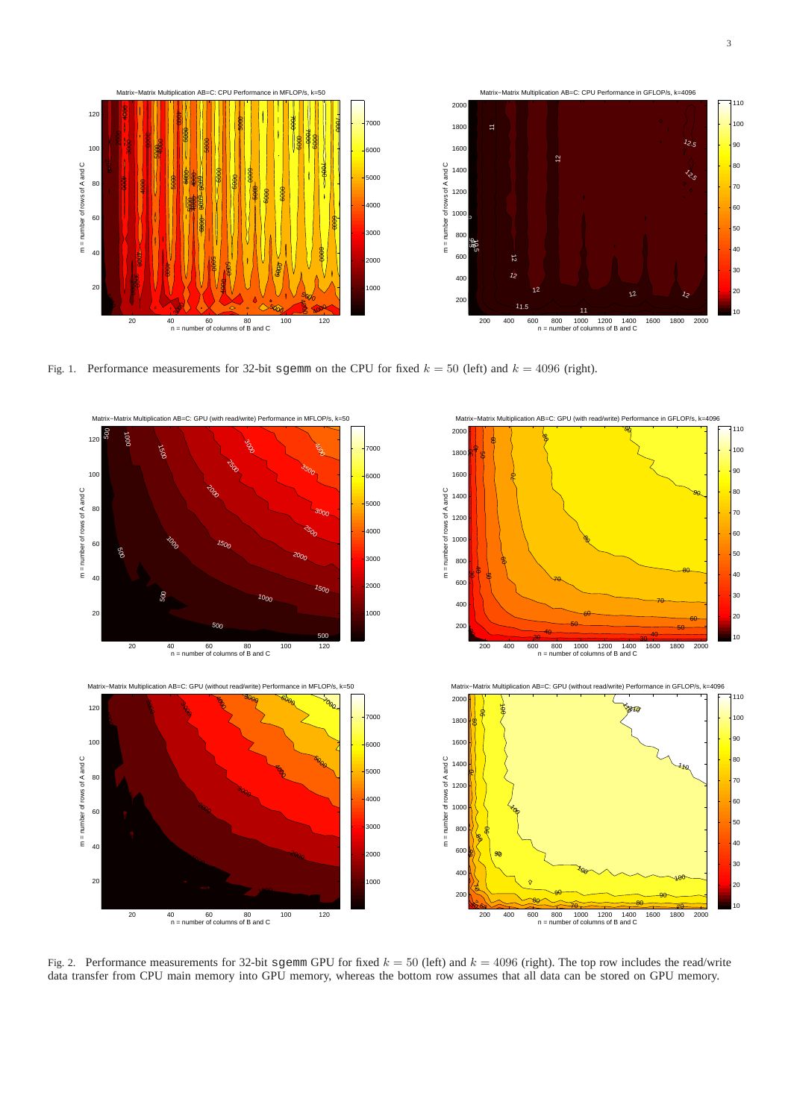

Fig. 1. Performance measurements for 32-bit sgemm on the CPU for fixed  $k = 50$  (left) and  $k = 4096$  (right).



Fig. 2. Performance measurements for 32-bit sgemm GPU for fixed  $k = 50$  (left) and  $k = 4096$  (right). The top row includes the read/write data transfer from CPU main memory into GPU memory, whereas the bottom row assumes that all data can be stored on GPU memory.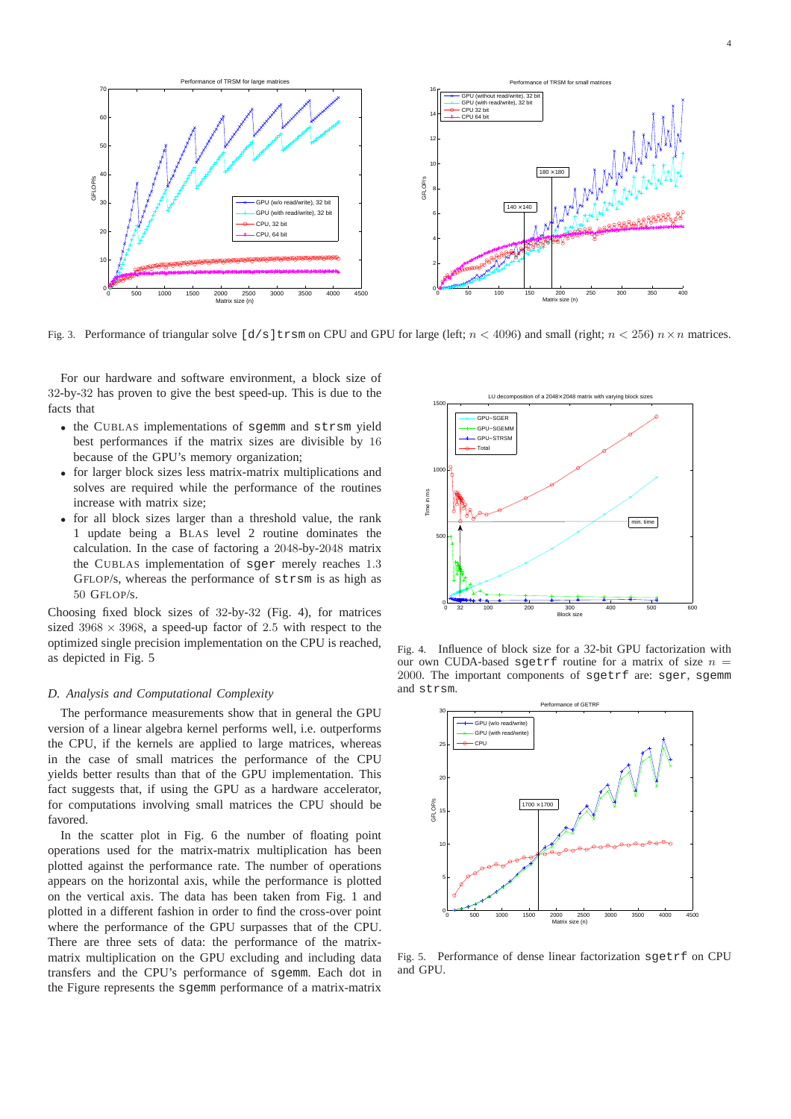

Fig. 3. Performance of triangular solve  $\lceil d/s \rceil$ trsm on CPU and GPU for large (left;  $n < 4096$ ) and small (right;  $n < 256$ )  $n \times n$  matrices.

For our hardware and software environment, a block size of 32-by-32 has proven to give the best speed-up. This is due to the facts that

- the CUBLAS implementations of sgemm and strsm yield best performances if the matrix sizes are divisible by 16 because of the GPU's memory organization;
- for larger block sizes less matrix-matrix multiplications and solves are required while the performance of the routines increase with matrix size;
- for all block sizes larger than a threshold value, the rank 1 update being a BLAS level 2 routine dominates the calculation. In the case of factoring a 2048-by-2048 matrix the CUBLAS implementation of sger merely reaches 1.3 GFLOP/s, whereas the performance of strsm is as high as 50 GFLOP/s.

Choosing fixed block sizes of 32-by-32 (Fig. 4), for matrices sized  $3968 \times 3968$ , a speed-up factor of 2.5 with respect to the optimized single precision implementation on the CPU is reached, as depicted in Fig. 5

#### *D. Analysis and Computational Complexity*

The performance measurements show that in general the GPU version of a linear algebra kernel performs well, i.e. outperforms the CPU, if the kernels are applied to large matrices, whereas in the case of small matrices the performance of the CPU yields better results than that of the GPU implementation. This fact suggests that, if using the GPU as a hardware accelerator, for computations involving small matrices the CPU should be favored.

In the scatter plot in Fig. 6 the number of floating point operations used for the matrix-matrix multiplication has been plotted against the performance rate. The number of operations appears on the horizontal axis, while the performance is plotted on the vertical axis. The data has been taken from Fig. 1 and plotted in a different fashion in order to find the cross-over point where the performance of the GPU surpasses that of the CPU. There are three sets of data: the performance of the matrixmatrix multiplication on the GPU excluding and including data transfers and the CPU's performance of sgemm. Each dot in the Figure represents the sgemm performance of a matrix-matrix



Fig. 4. Influence of block size for a 32-bit GPU factorization with our own CUDA-based sgetrf routine for a matrix of size  $n =$ 2000. The important components of sgetrf are: sger, sgemm and strsm.



Fig. 5. Performance of dense linear factorization sgetrf on CPU and GPU.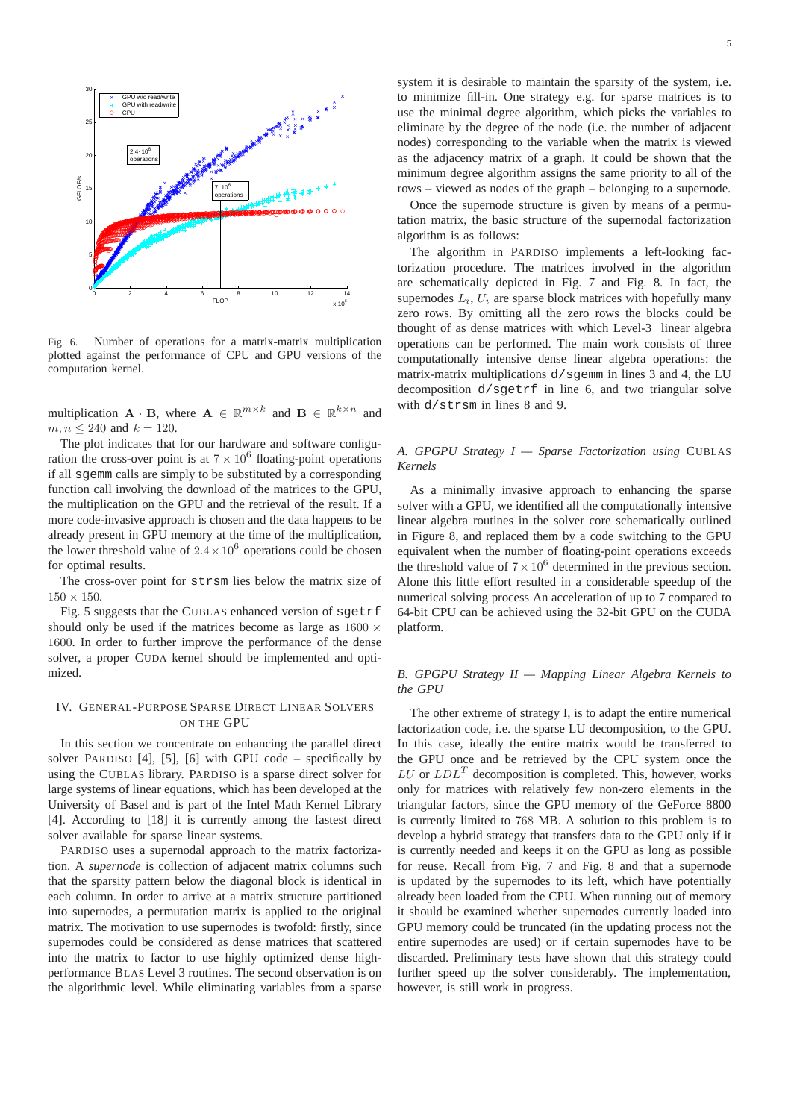

Fig. 6. Number of operations for a matrix-matrix multiplication plotted against the performance of CPU and GPU versions of the computation kernel.

multiplication  $\mathbf{A} \cdot \mathbf{B}$ , where  $\mathbf{A} \in \mathbb{R}^{m \times k}$  and  $\mathbf{B} \in \mathbb{R}^{k \times n}$  and  $m, n \le 240$  and  $k = 120$ .

The plot indicates that for our hardware and software configuration the cross-over point is at  $7 \times 10^6$  floating-point operations if all sgemm calls are simply to be substituted by a corresponding function call involving the download of the matrices to the GPU, the multiplication on the GPU and the retrieval of the result. If a more code-invasive approach is chosen and the data happens to be already present in GPU memory at the time of the multiplication, the lower threshold value of  $2.4 \times 10^6$  operations could be chosen for optimal results.

The cross-over point for strsm lies below the matrix size of  $150 \times 150$ .

Fig. 5 suggests that the CUBLAS enhanced version of sgetrf should only be used if the matrices become as large as  $1600 \times$ 1600. In order to further improve the performance of the dense solver, a proper CUDA kernel should be implemented and optimized.

## IV. GENERAL-PURPOSE SPARSE DIRECT LINEAR SOLVERS ON THE GPU

In this section we concentrate on enhancing the parallel direct solver PARDISO [4], [5], [6] with GPU code – specifically by using the CUBLAS library. PARDISO is a sparse direct solver for large systems of linear equations, which has been developed at the University of Basel and is part of the Intel Math Kernel Library [4]. According to [18] it is currently among the fastest direct solver available for sparse linear systems.

PARDISO uses a supernodal approach to the matrix factorization. A *supernode* is collection of adjacent matrix columns such that the sparsity pattern below the diagonal block is identical in each column. In order to arrive at a matrix structure partitioned into supernodes, a permutation matrix is applied to the original matrix. The motivation to use supernodes is twofold: firstly, since supernodes could be considered as dense matrices that scattered into the matrix to factor to use highly optimized dense highperformance BLAS Level 3 routines. The second observation is on the algorithmic level. While eliminating variables from a sparse system it is desirable to maintain the sparsity of the system, i.e. to minimize fill-in. One strategy e.g. for sparse matrices is to use the minimal degree algorithm, which picks the variables to eliminate by the degree of the node (i.e. the number of adjacent nodes) corresponding to the variable when the matrix is viewed as the adjacency matrix of a graph. It could be shown that the minimum degree algorithm assigns the same priority to all of the rows – viewed as nodes of the graph – belonging to a supernode.

Once the supernode structure is given by means of a permutation matrix, the basic structure of the supernodal factorization algorithm is as follows:

The algorithm in PARDISO implements a left-looking factorization procedure. The matrices involved in the algorithm are schematically depicted in Fig. 7 and Fig. 8. In fact, the supernodes  $L_i$ ,  $U_i$  are sparse block matrices with hopefully many zero rows. By omitting all the zero rows the blocks could be thought of as dense matrices with which Level-3 linear algebra operations can be performed. The main work consists of three computationally intensive dense linear algebra operations: the matrix-matrix multiplications  $d$ /sqemm in lines 3 and 4, the LU decomposition d/sgetrf in line 6, and two triangular solve with d/strsm in lines 8 and 9.

## *A. GPGPU Strategy I — Sparse Factorization using* CUBLAS *Kernels*

As a minimally invasive approach to enhancing the sparse solver with a GPU, we identified all the computationally intensive linear algebra routines in the solver core schematically outlined in Figure 8, and replaced them by a code switching to the GPU equivalent when the number of floating-point operations exceeds the threshold value of  $7 \times 10^6$  determined in the previous section. Alone this little effort resulted in a considerable speedup of the numerical solving process An acceleration of up to 7 compared to 64-bit CPU can be achieved using the 32-bit GPU on the CUDA platform.

## *B. GPGPU Strategy II — Mapping Linear Algebra Kernels to the GPU*

The other extreme of strategy I, is to adapt the entire numerical factorization code, i.e. the sparse LU decomposition, to the GPU. In this case, ideally the entire matrix would be transferred to the GPU once and be retrieved by the CPU system once the  $LU$  or  $LDL<sup>T</sup>$  decomposition is completed. This, however, works only for matrices with relatively few non-zero elements in the triangular factors, since the GPU memory of the GeForce 8800 is currently limited to 768 MB. A solution to this problem is to develop a hybrid strategy that transfers data to the GPU only if it is currently needed and keeps it on the GPU as long as possible for reuse. Recall from Fig. 7 and Fig. 8 and that a supernode is updated by the supernodes to its left, which have potentially already been loaded from the CPU. When running out of memory it should be examined whether supernodes currently loaded into GPU memory could be truncated (in the updating process not the entire supernodes are used) or if certain supernodes have to be discarded. Preliminary tests have shown that this strategy could further speed up the solver considerably. The implementation, however, is still work in progress.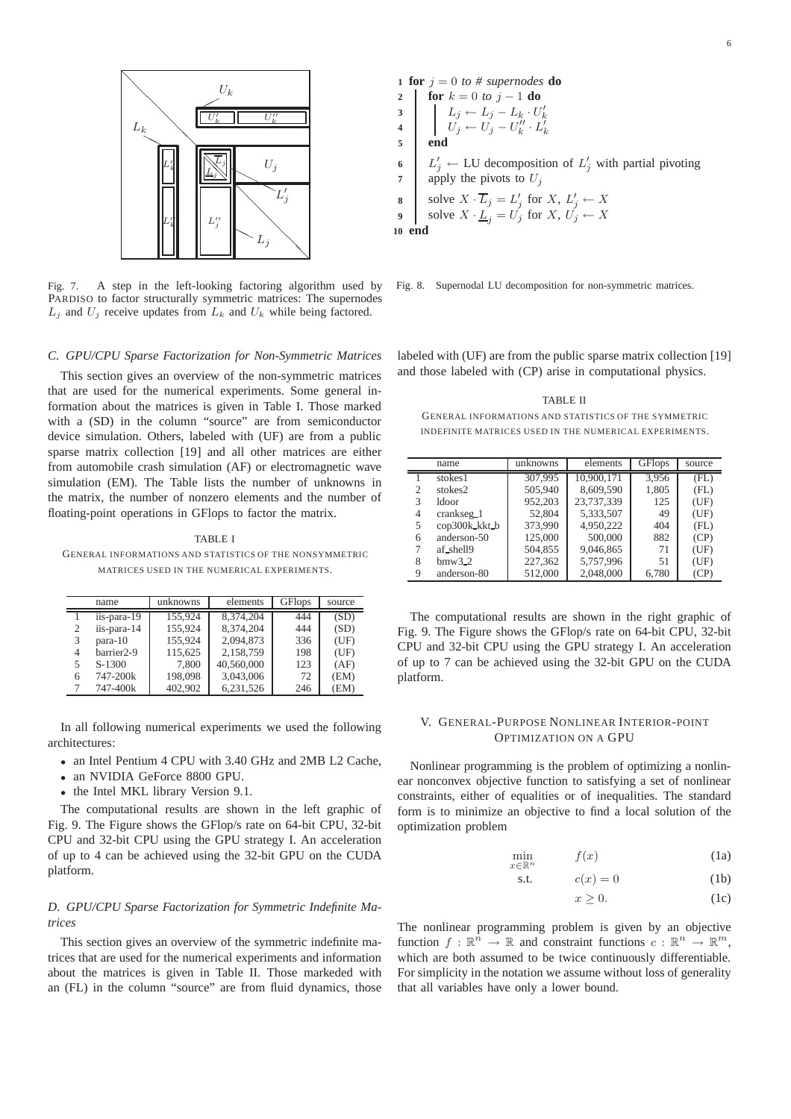

Fig. 7. A step in the left-looking factoring algorithm used by PARDISO to factor structurally symmetric matrices: The supernodes  $L_j$  and  $U_j$  receive updates from  $L_k$  and  $U_k$  while being factored.

# *C. GPU/CPU Sparse Factorization for Non-Symmetric Matrices*

This section gives an overview of the non-symmetric matrices that are used for the numerical experiments. Some general information about the matrices is given in Table I. Those marked with a (SD) in the column "source" are from semiconductor device simulation. Others, labeled with (UF) are from a public sparse matrix collection [19] and all other matrices are either from automobile crash simulation (AF) or electromagnetic wave simulation (EM). The Table lists the number of unknowns in the matrix, the number of nonzero elements and the number of floating-point operations in GFlops to factor the matrix.

TABLE I GENERAL INFORMATIONS AND STATISTICS OF THE NONSYMMETRIC MATRICES USED IN THE NUMERICAL EXPERIMENTS.

|                | name                   | unknowns | elements   | <b>GFlops</b> | source |
|----------------|------------------------|----------|------------|---------------|--------|
|                | iis-para-19            | 155.924  | 8.374.204  | 444           | (SD)   |
| $\mathfrak{2}$ | iis-para-14            | 155,924  | 8.374.204  | 444           | (SD)   |
| 3              | $para-10$              | 155,924  | 2.094.873  | 336           | (UF)   |
| 4              | barrier <sub>2-9</sub> | 115,625  | 2,158,759  | 198           | (UF)   |
| 5              | S-1300                 | 7,800    | 40,560,000 | 123           | (AF)   |
| 6              | 747-200k               | 198,098  | 3,043,006  | 72            | (EM)   |
|                | 747-400k               | 402.902  | 6.231.526  | 246           | (EM)   |

In all following numerical experiments we used the following architectures:

- an Intel Pentium 4 CPU with 3.40 GHz and 2MB L2 Cache,
- an NVIDIA GeForce 8800 GPU.
- the Intel MKL library Version 9.1.

The computational results are shown in the left graphic of Fig. 9. The Figure shows the GFlop/s rate on 64-bit CPU, 32-bit CPU and 32-bit CPU using the GPU strategy I. An acceleration of up to 4 can be achieved using the 32-bit GPU on the CUDA platform.

# *D. GPU/CPU Sparse Factorization for Symmetric Indefinite Matrices*

This section gives an overview of the symmetric indefinite matrices that are used for the numerical experiments and information about the matrices is given in Table II. Those markeded with an (FL) in the column "source" are from fluid dynamics, those

1 for 
$$
j = 0
$$
 to  $\#$  supernodes do  
\n2 \nfor  $k = 0$  to  $j - 1$  do  
\n3 \n
$$
\begin{array}{c}\nL_j \leftarrow L_j - L_k \cdot U'_k \\
U_j \leftarrow U_j - U''_k \cdot L'_k\n\end{array}
$$
\n5 \nend\n6 \n6 \n
$$
\begin{array}{c}\nL'_j \leftarrow \text{LU decomposition of } L'_j \text{ with partial pivoting} \\
\text{apply the pivots to } U_j \\
\text{s} \n\end{array}
$$
\n8 \nSolve  $X \cdot \overline{L}_j = L'_j$  for  $X, L'_j \leftarrow X$   
\n9 \n0 end

**3**

**10** 

Fig. 8. Supernodal LU decomposition for non-symmetric matrices.

labeled with (UF) are from the public sparse matrix collection [19] and those labeled with (CP) arise in computational physics.

TABLE II GENERAL INFORMATIONS AND STATISTICS OF THE SYMMETRIC INDEFINITE MATRICES USED IN THE NUMERICAL EXPERIMENTS.

|   | name                  | unknowns | elements   | <b>GFlops</b> | source |
|---|-----------------------|----------|------------|---------------|--------|
|   | stokes1               | 307,995  | 10.900.171 | 3.956         | (FL)   |
| 2 | stokes2               | 505,940  | 8,609,590  | 1,805         | (FL)   |
| 3 | 1door                 | 952,203  | 23.737.339 | 125           | (UF)   |
| 4 | crankseg <sub>1</sub> | 52,804   | 5,333,507  | 49            | (UF)   |
| 5 | cop300k_kkt_b         | 373,990  | 4.950.222  | 404           | (FL)   |
| 6 | anderson-50           | 125,000  | 500,000    | 882           | (CP)   |
|   | af_shell9             | 504,855  | 9,046,865  | 71            | (UF)   |
| 8 | $bmw3_2$              | 227,362  | 5,757,996  | 51            | (UF)   |
| 9 | anderson-80           | 512,000  | 2,048,000  | 6.780         | (CP)   |

The computational results are shown in the right graphic of Fig. 9. The Figure shows the GFlop/s rate on 64-bit CPU, 32-bit CPU and 32-bit CPU using the GPU strategy I. An acceleration of up to 7 can be achieved using the 32-bit GPU on the CUDA platform.

## V. GENERAL-PURPOSE NONLINEAR INTERIOR-POINT OPTIMIZATION ON A GPU

Nonlinear programming is the problem of optimizing a nonlinear nonconvex objective function to satisfying a set of nonlinear constraints, either of equalities or of inequalities. The standard form is to minimize an objective to find a local solution of the optimization problem

$$
\min_{x \in \mathbb{R}^n} \qquad f(x) \tag{1a}
$$

$$
s.t. \t c(x) = 0 \t (1b)
$$

$$
x \ge 0. \tag{1c}
$$

The nonlinear programming problem is given by an objective function  $f: \mathbb{R}^n \to \mathbb{R}$  and constraint functions  $c: \mathbb{R}^n \to \mathbb{R}^m$ , which are both assumed to be twice continuously differentiable. For simplicity in the notation we assume without loss of generality that all variables have only a lower bound.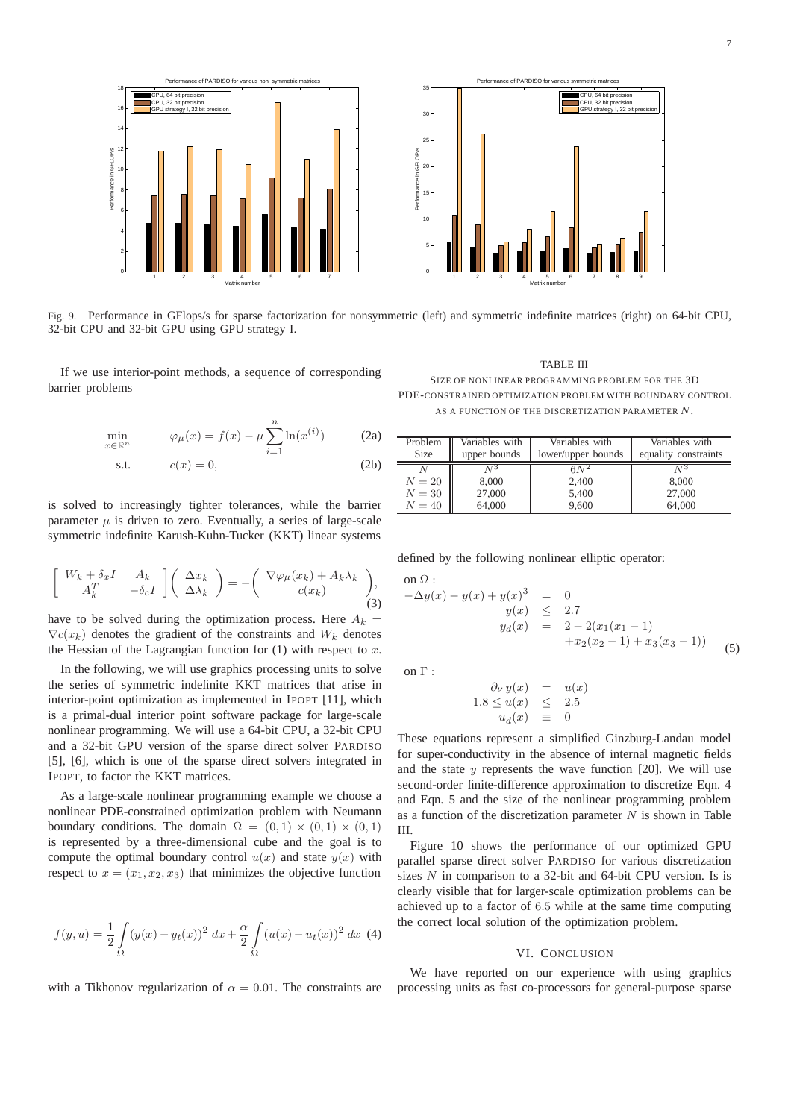



Fig. 9. Performance in GFlops/s for sparse factorization for nonsymmetric (left) and symmetric indefinite matrices (right) on 64-bit CPU, 32-bit CPU and 32-bit GPU using GPU strategy I.

If we use interior-point methods, a sequence of corresponding barrier problems

$$
\min_{x \in \mathbb{R}^n} \qquad \varphi_\mu(x) = f(x) - \mu \sum_{i=1}^n \ln(x^{(i)}) \tag{2a}
$$

$$
s.t. \t c(x) = 0,
$$
\t(2b)

is solved to increasingly tighter tolerances, while the barrier parameter  $\mu$  is driven to zero. Eventually, a series of large-scale symmetric indefinite Karush-Kuhn-Tucker (KKT) linear systems

$$
\begin{bmatrix}\nW_k + \delta_x I & A_k \\
A_k^T & -\delta_c I\n\end{bmatrix}\n\begin{bmatrix}\n\Delta x_k \\
\Delta \lambda_k\n\end{bmatrix} = -\n\begin{bmatrix}\n\nabla \varphi_\mu(x_k) + A_k \lambda_k \\
c(x_k)\n\end{bmatrix},
$$
\n(3)

have to be solved during the optimization process. Here  $A_k =$  $\nabla c(x_k)$  denotes the gradient of the constraints and  $W_k$  denotes the Hessian of the Lagrangian function for  $(1)$  with respect to x.

In the following, we will use graphics processing units to solve the series of symmetric indefinite KKT matrices that arise in interior-point optimization as implemented in IPOPT [11], which is a primal-dual interior point software package for large-scale nonlinear programming. We will use a 64-bit CPU, a 32-bit CPU and a 32-bit GPU version of the sparse direct solver PARDISO [5], [6], which is one of the sparse direct solvers integrated in IPOPT, to factor the KKT matrices.

As a large-scale nonlinear programming example we choose a nonlinear PDE-constrained optimization problem with Neumann boundary conditions. The domain  $\Omega = (0,1) \times (0,1) \times (0,1)$ is represented by a three-dimensional cube and the goal is to compute the optimal boundary control  $u(x)$  and state  $y(x)$  with respect to  $x = (x_1, x_2, x_3)$  that minimizes the objective function

$$
f(y, u) = \frac{1}{2} \int_{\Omega} (y(x) - y_t(x))^2 dx + \frac{\alpha}{2} \int_{\Omega} (u(x) - u_t(x))^2 dx
$$
 (4)

with a Tikhonov regularization of  $\alpha = 0.01$ . The constraints are

TABLE III SIZE OF NONLINEAR PROGRAMMING PROBLEM FOR THE 3D PDE-CONSTRAINED OPTIMIZATION PROBLEM WITH BOUNDARY CONTROL AS A FUNCTION OF THE DISCRETIZATION PARAMETER  $N$ .

| Problem     | Variables with | Variables with     | Variables with       |
|-------------|----------------|--------------------|----------------------|
| <b>Size</b> | upper bounds   | lower/upper bounds | equality constraints |
| $N=20$      | A73            | $6N^2$             | AJ 3                 |
|             | 8,000          | 2,400              | 8,000                |
| $N=30$      | 27,000         | 5,400              | 27,000               |
| $N=40$      | 64,000         | 9,600              | 64,000               |

defined by the following nonlinear elliptic operator:

$$
-\Delta y(x) - y(x) + y(x)^3 = 0
$$
  
\n
$$
y(x) \le 2.7
$$
  
\n
$$
y_d(x) = 2 - 2(x_1(x_1 - 1)
$$
  
\n
$$
+x_2(x_2 - 1) + x_3(x_3 - 1)
$$
\n(5)

on  $\Gamma$  :

 $\sim$   $\Omega$ 

$$
\begin{array}{rcl}\n\partial_{\nu} y(x) & = & u(x) \\
1.8 \le u(x) & \le & 2.5 \\
u_d(x) & \equiv & 0\n\end{array}
$$

These equations represent a simplified Ginzburg-Landau model for super-conductivity in the absence of internal magnetic fields and the state  $y$  represents the wave function [20]. We will use second-order finite-difference approximation to discretize Eqn. 4 and Eqn. 5 and the size of the nonlinear programming problem as a function of the discretization parameter  $N$  is shown in Table III.

Figure 10 shows the performance of our optimized GPU parallel sparse direct solver PARDISO for various discretization sizes  $N$  in comparison to a 32-bit and 64-bit CPU version. Is is clearly visible that for larger-scale optimization problems can be achieved up to a factor of 6.5 while at the same time computing the correct local solution of the optimization problem.

#### VI. CONCLUSION

We have reported on our experience with using graphics processing units as fast co-processors for general-purpose sparse